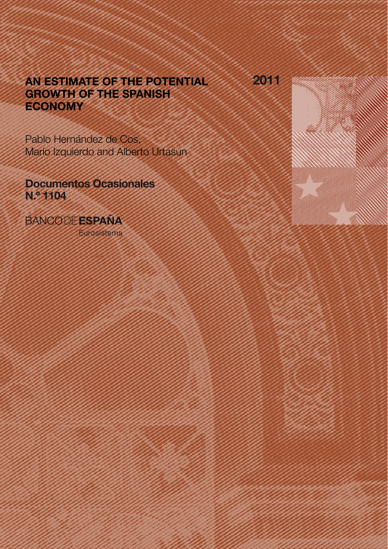# AN ESTIMATE OF THE POTENTIAL GROWTH OF THE SPANISH ECONOMY

2011

Pablo Hernández de Cos, Mario Izquierdo and Alberto Urtasun

Documentos Ocasionales N.º 1104

**BANCODEESPAÑA** 

Eurosistema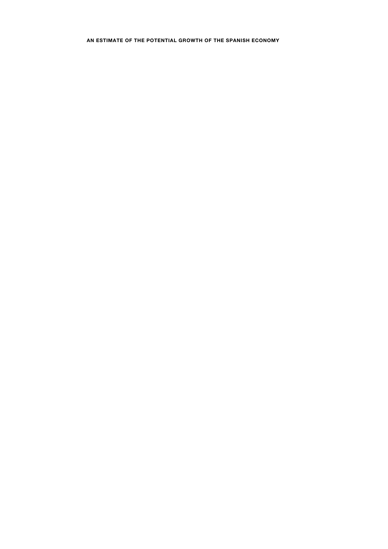**AN ESTIMATE OF THE POTENTIAL GROWTH OF THE SPANISH ECONOMY**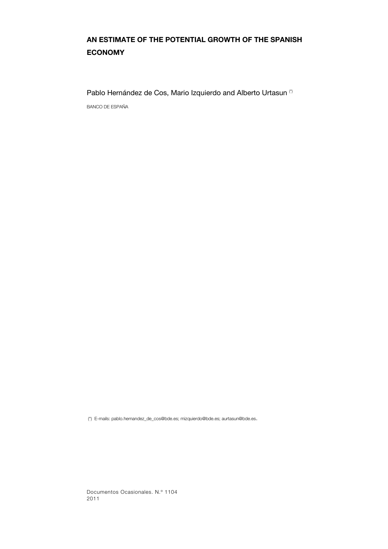# **AN ESTIMATE OF THE POTENTIAL GROWTH OF THE SPANISH ECONOMY**

Pablo Hernández de Cos, Mario Izquierdo and Alberto Urtasun (\*)

BANCO DE ESPAÑA

(\*) E-mails: pablo.hernandez\_de\_cos@bde.es; mizquierdo@bde.es; aurtasun@bde.es.

Documentos Ocasionales. N.º 1104 2011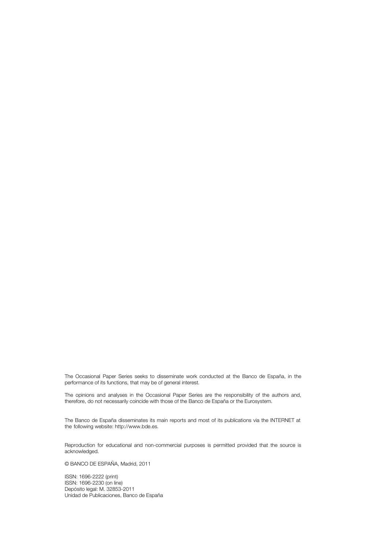The Occasional Paper Series seeks to disseminate work conducted at the Banco de España, in the performance of its functions, that may be of general interest.

The opinions and analyses in the Occasional Paper Series are the responsibility of the authors and, therefore, do not necessarily coincide with those of the Banco de España or the Eurosystem.

The Banco de España disseminates its main reports and most of its publications via the INTERNET at the following website: http://www.bde.es.

Reproduction for educational and non-commercial purposes is permitted provided that the source is acknowledged.

© BANCO DE ESPAÑA, Madrid, 2011

ISSN: 1696-2222 (print) ISSN: 1696-2230 (on line) Depósito legal: M. 32853-2011 Unidad de Publicaciones, Banco de España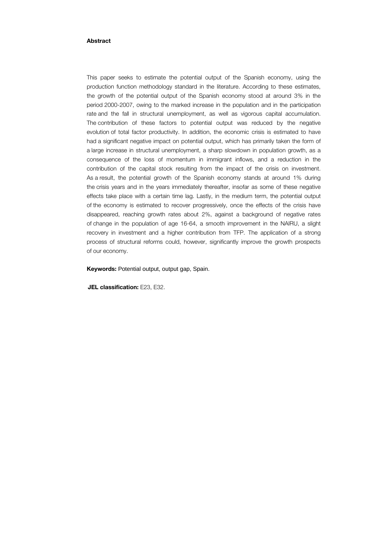# **Abstract**

This paper seeks to estimate the potential output of the Spanish economy, using the production function methodology standard in the literature. According to these estimates, the growth of the potential output of the Spanish economy stood at around 3% in the period 2000-2007, owing to the marked increase in the population and in the participation rate and the fall in structural unemployment, as well as vigorous capital accumulation. The contribution of these factors to potential output was reduced by the negative evolution of total factor productivity. In addition, the economic crisis is estimated to have had a significant negative impact on potential output, which has primarily taken the form of a large increase in structural unemployment, a sharp slowdown in population growth, as a consequence of the loss of momentum in immigrant inflows, and a reduction in the contribution of the capital stock resulting from the impact of the crisis on investment. As a result, the potential growth of the Spanish economy stands at around 1% during the crisis years and in the years immediately thereafter, insofar as some of these negative effects take place with a certain time lag. Lastly, in the medium term, the potential output of the economy is estimated to recover progressively, once the effects of the crisis have disappeared, reaching growth rates about 2%, against a background of negative rates of change in the population of age 16-64, a smooth improvement in the NAIRU, a slight recovery in investment and a higher contribution from TFP. The application of a strong process of structural reforms could, however, significantly improve the growth prospects of our economy.

**Keywords:** Potential output, output gap, Spain.

**JEL classification:** E23, E32.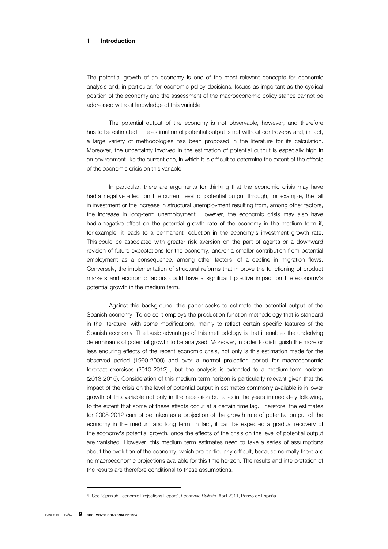# **1 Introduction**

The potential growth of an economy is one of the most relevant concepts for economic analysis and, in particular, for economic policy decisions. Issues as important as the cyclical position of the economy and the assessment of the macroeconomic policy stance cannot be addressed without knowledge of this variable.

The potential output of the economy is not observable, however, and therefore has to be estimated. The estimation of potential output is not without controversy and, in fact, a large variety of methodologies has been proposed in the literature for its calculation. Moreover, the uncertainty involved in the estimation of potential output is especially high in an environment like the current one, in which it is difficult to determine the extent of the effects of the economic crisis on this variable.

In particular, there are arguments for thinking that the economic crisis may have had a negative effect on the current level of potential output through, for example, the fall in investment or the increase in structural unemployment resulting from, among other factors, the increase in long-term unemployment. However, the economic crisis may also have had a negative effect on the potential growth rate of the economy in the medium term if, for example, it leads to a permanent reduction in the economy's investment growth rate. This could be associated with greater risk aversion on the part of agents or a downward revision of future expectations for the economy, and/or a smaller contribution from potential employment as a consequence, among other factors, of a decline in migration flows. Conversely, the implementation of structural reforms that improve the functioning of product markets and economic factors could have a significant positive impact on the economy's potential growth in the medium term.

Against this background, this paper seeks to estimate the potential output of the Spanish economy. To do so it employs the production function methodology that is standard in the literature, with some modifications, mainly to reflect certain specific features of the Spanish economy. The basic advantage of this methodology is that it enables the underlying determinants of potential growth to be analysed. Moreover, in order to distinguish the more or less enduring effects of the recent economic crisis, not only is this estimation made for the observed period (1990-2009) and over a normal projection period for macroeconomic forecast exercises (2010-2012)<sup>1</sup>, but the analysis is extended to a medium-term horizon (2013-2015). Consideration of this medium-term horizon is particularly relevant given that the impact of the crisis on the level of potential output in estimates commonly available is in lower growth of this variable not only in the recession but also in the years immediately following, to the extent that some of these effects occur at a certain time lag. Therefore, the estimates for 2008-2012 cannot be taken as a projection of the growth rate of potential output of the economy in the medium and long term. In fact, it can be expected a gradual recovery of the economy's potential growth, once the effects of the crisis on the level of potential output are vanished. However, this medium term estimates need to take a series of assumptions about the evolution of the economy, which are particularly difficult, because normally there are no macroeconomic projections available for this time horizon. The results and interpretation of the results are therefore conditional to these assumptions.

**<sup>1.</sup>** See "Spanish Economic Projections Report", *Economic Bulletin,* April 2011, Banco de España.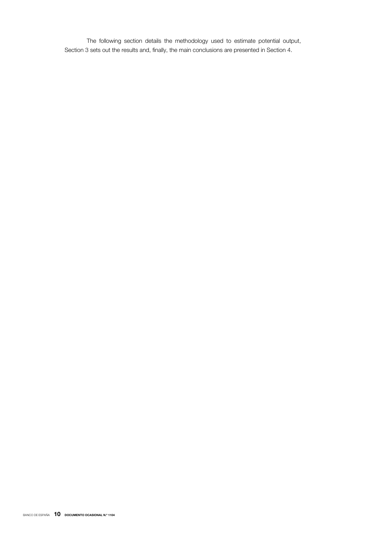The following section details the methodology used to estimate potential output, Section 3 sets out the results and, finally, the main conclusions are presented in Section 4.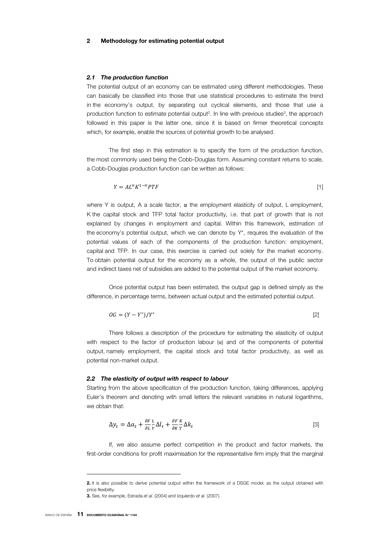#### *2.1 The production function*

The potential output of an economy can be estimated using different methodologies. These can basically be classified into those that use statistical procedures to estimate the trend in the economy's output, by separating out cyclical elements, and those that use a production function to estimate potential output<sup>2</sup>. In line with previous studies<sup>3</sup>, the approach followed in this paper is the latter one, since it is based on firmer theoretical concepts which, for example, enable the sources of potential growth to be analysed.

The first step in this estimation is to specify the form of the production function, the most commonly used being the Cobb-Douglas form. Assuming constant returns to scale, a Cobb-Douglas production function can be written as follows:

$$
Y = AL^{\alpha}K^{1-\alpha}PTF
$$

where Y is output. A a scale factor,  $\alpha$  the employment elasticity of output, L employment, K the capital stock and TFP total factor productivity, i.e. that part of growth that is not explained by changes in employment and capital. Within this framework, estimation of the economy's potential output, which we can denote by  $Y^*$ , requires the evaluation of the potential values of each of the components of the production function: employment, capital and TFP. In our case, this exercise is carried out solely for the market economy. To obtain potential output for the economy as a whole, the output of the public sector and indirect taxes net of subsidies are added to the potential output of the market economy.

Once potential output has been estimated, the output gap is defined simply as the difference, in percentage terms, between actual output and the estimated potential output.

$$
OG = (Y - Y^*)/Y^*
$$

There follows a description of the procedure for estimating the elasticity of output with respect to the factor of production labour  $(\alpha)$  and of the components of potential output, namely employment, the capital stock and total factor productivity, as well as potential non-market output.

#### *2.2 The elasticity of output with respect to labour*

Starting from the above specification of the production function, taking differences, applying Euler's theorem and denoting with small letters the relevant variables in natural logarithms, we obtain that:

$$
\Delta y_t = \Delta a_t + \frac{\partial F}{\partial L} \frac{L}{Y} \Delta l_t + \frac{\partial F}{\partial K} \frac{K}{Y} \Delta k_t
$$
\n[3]

If, we also assume perfect competition in the product and factor markets, the first-order conditions for profit maximisation for the representative firm imply that the marginal

 $\overline{a}$ 

**<sup>2.</sup>** It is also possible to derive potential output within the framework of a DSGE model, as the output obtained with price flexibility.

**<sup>3.</sup>** See, for example, Estrada *et al.* (2004) and Izquierdo *et al.* (2007).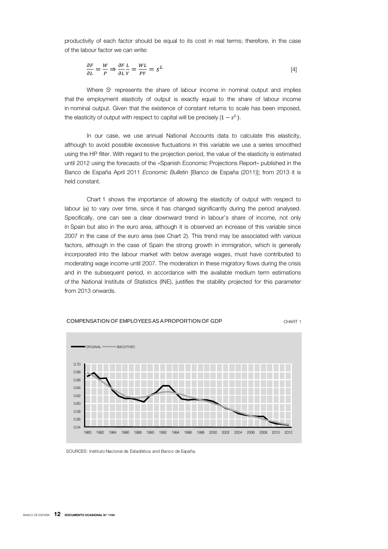productivity of each factor should be equal to its cost in real terms; therefore, in the case of the labour factor we can write:

$$
\frac{\partial F}{\partial L} = \frac{W}{P} \Rightarrow \frac{\partial F}{\partial L} \frac{L}{Y} = \frac{WL}{PY} = S^L
$$
\n<sup>[4]</sup>

Where S<sup>L</sup> represents the share of labour income in nominal output and implies that the employment elasticity of output is exactly equal to the share of labour income in nominal output. Given that the existence of constant returns to scale has been imposed, the elasticity of output with respect to capital will be precisely  $(1-s^L)$ .

In our case, we use annual National Accounts data to calculate this elasticity, although to avoid possible excessive fluctuations in this variable we use a series smoothed using the HP filter. With regard to the projection period, the value of the elasticity is estimated until 2012 using the forecasts of the «Spanish Economic Projections Report» published in the Banco de España April 2011 *Economic Bulletin* [Banco de España (2011)]; from 2013 it is held constant.

Chart 1 shows the importance of allowing the elasticity of output with respect to labour (α) to vary over time, since it has changed significantly during the period analysed. Specifically, one can see a clear downward trend in labour's share of income, not only in Spain but also in the euro area, although it is observed an increase of this variable since 2007 in the case of the euro area (see Chart 2). This trend may be associated with various factors, although in the case of Spain the strong growth in immigration, which is generally incorporated into the labour market with below average wages, must have contributed to moderating wage income until 2007. The moderation in these migratory flows during the crisis and in the subsequent period, in accordance with the available medium term estimations of the National Institute of Statistics (INE), justifies the stability projected for this parameter from 2013 onwards.





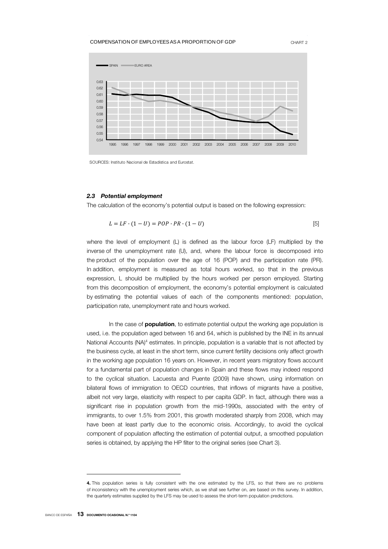#### COMPENSATION OF EMPLOYEES AS A PROPORTION OF GDP CHART 2



SOURCES: Instituto Nacional de Estadística and Eurostat.

# *2.3 Potential employment*

The calculation of the economy's potential output is based on the following expression:

$$
L = LF \cdot (1 - U) = POP \cdot PR \cdot (1 - U) \tag{5}
$$

where the level of employment (L) is defined as the labour force (LF) multiplied by the inverse of the unemployment rate (U), and, where the labour force is decomposed into the product of the population over the age of 16 (POP) and the participation rate (PR). In addition, employment is measured as total hours worked, so that in the previous expression, L should be multiplied by the hours worked per person employed. Starting from this decomposition of employment, the economy's potential employment is calculated by estimating the potential values of each of the components mentioned: population, participation rate, unemployment rate and hours worked.

In the case of **population**, to estimate potential output the working age population is used, i.e. the population aged between 16 and 64, which is published by the INE in its annual National Accounts (NA)<sup>4</sup> estimates. In principle, population is a variable that is not affected by the business cycle, at least in the short term, since current fertility decisions only affect growth in the working age population 16 years on. However, in recent years migratory flows account for a fundamental part of population changes in Spain and these flows may indeed respond to the cyclical situation. Lacuesta and Puente (2009) have shown, using information on bilateral flows of immigration to OECD countries, that inflows of migrants have a positive, albeit not very large, elasticity with respect to per capita GDP. In fact, although there was a significant rise in population growth from the mid-1990s, associated with the entry of immigrants, to over 1.5% from 2001, this growth moderated sharply from 2008, which may have been at least partly due to the economic crisis. Accordingly, to avoid the cyclical component of population affecting the estimation of potential output, a smoothed population series is obtained, by applying the HP filter to the original series (see Chart 3).

 $\overline{a}$ 

**<sup>4.</sup>** This population series is fully consistent with the one estimated by the LFS, so that there are no problems of inconsistency with the unemployment series which, as we shall see further on, are based on this survey. In addition, the quarterly estimates supplied by the LFS may be used to assess the short-term population predictions.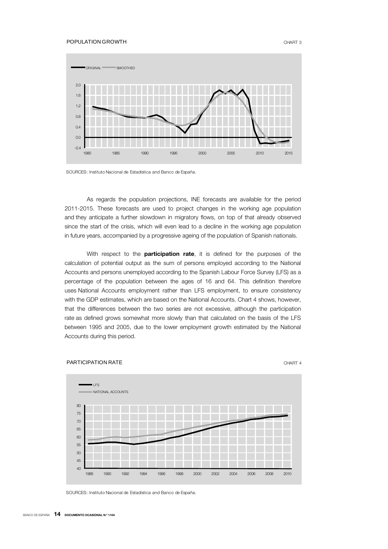#### POPULATION GROWTH CHART 3



SOURCES: Instituto Nacional de Estadística and Banco de España.

As regards the population projections, INE forecasts are available for the period 2011-2015. These forecasts are used to project changes in the working age population and they anticipate a further slowdown in migratory flows, on top of that already observed since the start of the crisis, which will even lead to a decline in the working age population in future years, accompanied by a progressive ageing of the population of Spanish nationals.

With respect to the **participation rate**, it is defined for the purposes of the calculation of potential output as the sum of persons employed according to the National Accounts and persons unemployed according to the Spanish Labour Force Survey (LFS) as a percentage of the population between the ages of 16 and 64. This definition therefore uses National Accounts employment rather than LFS employment, to ensure consistency with the GDP estimates, which are based on the National Accounts. Chart 4 shows, however, that the differences between the two series are not excessive, although the participation rate as defined grows somewhat more slowly than that calculated on the basis of the LFS between 1995 and 2005, due to the lower employment growth estimated by the National Accounts during this period.

# PARTICIPATION RATE CHART 4



SOURCES: Instituto Nacional de Estadística and Banco de España.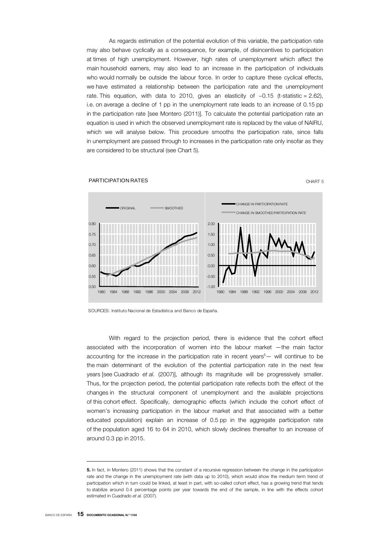As regards estimation of the potential evolution of this variable, the participation rate may also behave cyclically as a consequence, for example, of disincentives to participation at times of high unemployment. However, high rates of unemployment which affect the main household earners, may also lead to an increase in the participation of individuals who would normally be outside the labour force. In order to capture these cyclical effects, we have estimated a relationship between the participation rate and the unemployment rate. This equation, with data to 2010, gives an elasticity of −0.15 (t-statistic = 2.62), i.e. on average a decline of 1 pp in the unemployment rate leads to an increase of 0.15 pp in the participation rate [see Montero (2011)]. To calculate the potential participation rate an equation is used in which the observed unemployment rate is replaced by the value of NAIRU, which we will analyse below. This procedure smooths the participation rate, since falls in unemployment are passed through to increases in the participation rate only insofar as they are considered to be structural (see Chart 5).



#### **PARTICIPATION RATES** CHART 5

SOURCES: Instituto Nacional de Estadística and Banco de España.

With regard to the projection period, there is evidence that the cohort effect associated with the incorporation of women into the labour market —the main factor accounting for the increase in the participation rate in recent years<sup>5</sup>— will continue to be the main determinant of the evolution of the potential participation rate in the next few years [see Cuadrado *et al.* (2007)], although its magnitude will be progressively smaller. Thus, for the projection period, the potential participation rate reflects both the effect of the changes in the structural component of unemployment and the available projections of this cohort effect. Specifically, demographic effects (which include the cohort effect of women's increasing participation in the labour market and that associated with a better educated population) explain an increase of 0.5 pp in the aggregate participation rate of the population aged 16 to 64 in 2010, which slowly declines thereafter to an increase of around 0.3 pp in 2015.

**<sup>5.</sup>** In fact, in Montero (2011) shows that the constant of a recursive regression between the change in the participation rate and the change in the unemployment rate (with data up to 2010), which would show the medium term trend of participation which in turn could be linked, at least in part, with so-called cohort effect, has a growing trend that tends to stabilize around 0.4 percentage points per year towards the end of the sample, in line with the effects cohort estimated in Cuadrado *et al.* (2007).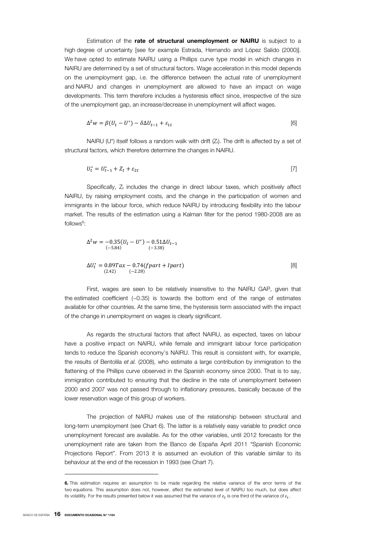Estimation of the **rate of structural unemployment or NAIRU** is subject to a high degree of uncertainty [see for example Estrada, Hernando and López Salido (2000)]. We have opted to estimate NAIRU using a Phillips curve type model in which changes in NAIRU are determined by a set of structural factors. Wage acceleration in this model depends on the unemployment gap, i.e. the difference between the actual rate of unemployment and NAIRU and changes in unemployment are allowed to have an impact on wage developments. This term therefore includes a hysteresis effect since, irrespective of the size of the unemployment gap, an increase/decrease in unemployment will affect wages.

$$
\Delta^2 w = \beta (U_t - U^*) - \delta \Delta U_{t-1} + \varepsilon_{1t} \tag{6}
$$

NAIRU (U<sup>\*</sup>) itself follows a random walk with drift ( $Z<sub>i</sub>$ ). The drift is affected by a set of structural factors, which therefore determine the changes in NAIRU.

$$
U_t^* = U_{t-1}^* + Z_t + \varepsilon_{2t} \tag{7}
$$

Specifically,  $Z_t$  includes the change in direct labour taxes, which positively affect NAIRU, by raising employment costs, and the change in the participation of women and immigrants in the labour force, which reduce NAIRU by introducing flexibility into the labour market. The results of the estimation using a Kalman filter for the period 1980-2008 are as follows<sup>6</sup>:

$$
\Delta^{2}w = -0.35(U_{t} - U^{*}) - 0.51\Delta U_{t-1}
$$
  
\n
$$
(-5.84)
$$
  
\n
$$
\Delta U_{t}^{*} = 0.89Tax - 0.74(fpart + Ipart)
$$
  
\n(8)

First, wages are seen to be relatively insensitive to the NAIRU GAP, given that the estimated coefficient (−0.35) is towards the bottom end of the range of estimates available for other countries. At the same time, the hysteresis term associated with the impact of the change in unemployment on wages is clearly significant.

As regards the structural factors that affect NAIRU, as expected, taxes on labour have a positive impact on NAIRU, while female and immigrant labour force participation tends to reduce the Spanish economy's NAIRU. This result is consistent with, for example, the results of Bentolila *et al.* (2008), who estimate a large contribution by immigration to the flattening of the Phillips curve observed in the Spanish economy since 2000. That is to say, immigration contributed to ensuring that the decline in the rate of unemployment between 2000 and 2007 was not passed through to inflationary pressures, basically because of the lower reservation wage of this group of workers.

The projection of NAIRU makes use of the relationship between structural and long-term unemployment (see Chart 6). The latter is a relatively easy variable to predict once unemployment forecast are available. As for the other variables, until 2012 forecasts for the unemployment rate are taken from the Banco de España April 2011 "Spanish Economic Projections Report". From 2013 it is assumed an evolution of this variable similar to its behaviour at the end of the recession in 1993 (see Chart 7).

 $\overline{a}$ 

**<sup>6.</sup>** This estimation requires an assumption to be made regarding the relative variance of the error terms of the two equations. This assumption does not, however, affect the estimated level of NAIRU too much, but does affect its volatility. For the results presented below it was assumed that the variance of  $\varepsilon_2$  is one third of the variance of  $\varepsilon_1$ .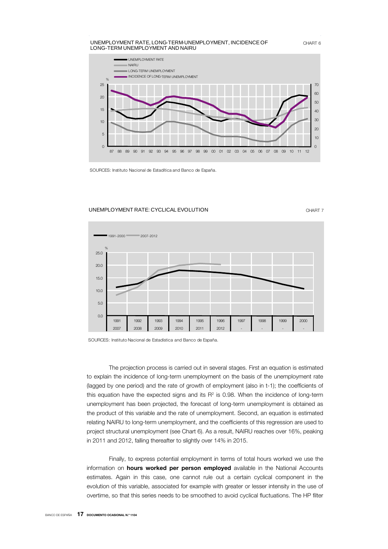

SOURCES: Instituto Nacional de Estadítica and Banco de España.

#### UNEMPLOYMENT RATE: CYCLICAL EVOLUTION **CHART 7**



SOURCES: Instituto Nacional de Estadística and Banco de España.

The projection process is carried out in several stages. First an equation is estimated to explain the incidence of long-term unemployment on the basis of the unemployment rate (lagged by one period) and the rate of growth of employment (also in t-1); the coefficients of this equation have the expected signs and its  $R<sup>2</sup>$  is 0.98. When the incidence of long-term unemployment has been projected, the forecast of long-term unemployment is obtained as the product of this variable and the rate of unemployment. Second, an equation is estimated relating NAIRU to long-term unemployment, and the coefficients of this regression are used to project structural unemployment (see Chart 6). As a result, NAIRU reaches over 16%, peaking in 2011 and 2012, falling thereafter to slightly over 14% in 2015.

Finally, to express potential employment in terms of total hours worked we use the information on **hours worked per person employed** available in the National Accounts estimates. Again in this case, one cannot rule out a certain cyclical component in the evolution of this variable, associated for example with greater or lesser intensity in the use of overtime, so that this series needs to be smoothed to avoid cyclical fluctuations. The HP filter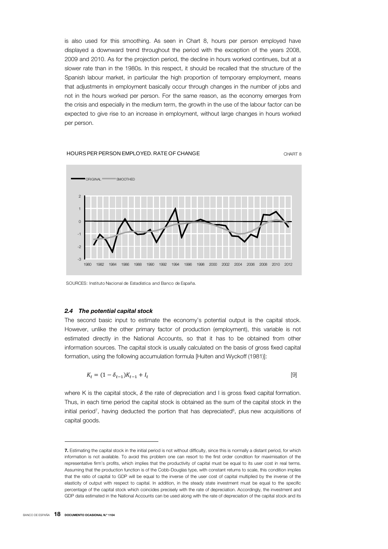is also used for this smoothing. As seen in Chart 8, hours per person employed have displayed a downward trend throughout the period with the exception of the years 2008, 2009 and 2010. As for the projection period, the decline in hours worked continues, but at a slower rate than in the 1980s. In this respect, it should be recalled that the structure of the Spanish labour market, in particular the high proportion of temporary employment, means that adjustments in employment basically occur through changes in the number of jobs and not in the hours worked per person. For the same reason, as the economy emerges from the crisis and especially in the medium term, the growth in the use of the labour factor can be expected to give rise to an increase in employment, without large changes in hours worked per person.

## HOURS PER PERSON EMPLOYED. RATE OF CHANGE THE CHART 8



SOURCES: Instituto Nacional de Estadística and Banco de España.

## *2.4 The potential capital stock*

The second basic input to estimate the economy's potential output is the capital stock. However, unlike the other primary factor of production (employment), this variable is not estimated directly in the National Accounts, so that it has to be obtained from other information sources. The capital stock is usually calculated on the basis of gross fixed capital formation, using the following accumulation formula [Hulten and Wyckoff (1981)]:

$$
K_t = (1 - \delta_{t-1})K_{t-1} + I_t
$$
\n<sup>(9)</sup>

where K is the capital stock,  $\delta$  the rate of depreciation and I is gross fixed capital formation. Thus, in each time period the capital stock is obtained as the sum of the capital stock in the initial period<sup>7</sup>, having deducted the portion that has depreciated $8$ , plus new acquisitions of capital goods.

**<sup>7.</sup>** Estimating the capital stock in the initial period is not without difficulty, since this is normally a distant period, for which information is not available. To avoid this problem one can resort to the first order condition for maximisation of the representative firm's profits, which implies that the productivity of capital must be equal to its user cost in real terms. Assuming that the production function is of the Cobb-Douglas type, with constant returns to scale, this condition implies that the ratio of capital to GDP will be equal to the inverse of the user cost of capital multiplied by the inverse of the elasticity of output with respect to capital. In addition, in the steady state investment must be equal to the specific percentage of the capital stock which coincides precisely with the rate of depreciation. Accordingly, the investment and GDP data estimated in the National Accounts can be used along with the rate of depreciation of the capital stock and its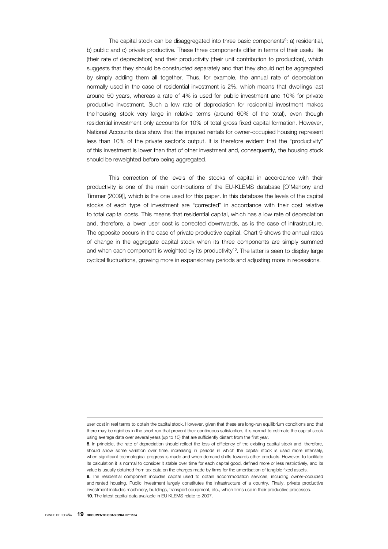The capital stock can be disaggregated into three basic components<sup>9</sup>: a) residential, b) public and c) private productive. These three components differ in terms of their useful life (their rate of depreciation) and their productivity (their unit contribution to production), which suggests that they should be constructed separately and that they should not be aggregated by simply adding them all together. Thus, for example, the annual rate of depreciation normally used in the case of residential investment is 2%, which means that dwellings last around 50 years, whereas a rate of 4% is used for public investment and 10% for private productive investment. Such a low rate of depreciation for residential investment makes the housing stock very large in relative terms (around 60% of the total), even though residential investment only accounts for 10% of total gross fixed capital formation. However, National Accounts data show that the imputed rentals for owner-occupied housing represent less than 10% of the private sector's output. It is therefore evident that the "productivity" of this investment is lower than that of other investment and, consequently, the housing stock should be reweighted before being aggregated.

This correction of the levels of the stocks of capital in accordance with their productivity is one of the main contributions of the EU-KLEMS database [O'Mahony and Timmer (2009)], which is the one used for this paper. In this database the levels of the capital stocks of each type of investment are "corrected" in accordance with their cost relative to total capital costs. This means that residential capital, which has a low rate of depreciation and, therefore, a lower user cost is corrected downwards, as is the case of infrastructure. The opposite occurs in the case of private productive capital. Chart 9 shows the annual rates of change in the aggregate capital stock when its three components are simply summed and when each component is weighted by its productivity<sup>10</sup>. The latter is seen to display large cyclical fluctuations, growing more in expansionary periods and adjusting more in recessions.

<sup>1</sup> user cost in real terms to obtain the capital stock. However, given that these are long-run equilibrium conditions and that there may be rigidities in the short run that prevent their continuous satisfaction, it is normal to estimate the capital stock using average data over several years (up to 10) that are sufficiently distant from the first year.

**<sup>8.</sup>** In principle, the rate of depreciation should reflect the loss of efficiency of the existing capital stock and, therefore, should show some variation over time, increasing in periods in which the capital stock is used more intensely, when significant technological progress is made and when demand shifts towards other products. However, to facilitate its calculation it is normal to consider it stable over time for each capital good, defined more or less restrictively, and its value is usually obtained from tax data on the charges made by firms for the amortisation of tangible fixed assets. **9.** The residential component includes capital used to obtain accommodation services, including owner-occupied and rented housing. Public investment largely constitutes the infrastructure of a country. Finally, private productive investment includes machinery, buildings, transport equipment, etc., which firms use in their productive processes. **10.** The latest capital data available in EU KLEMS relate to 2007.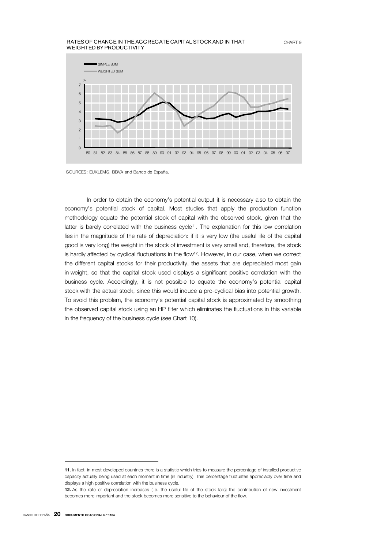#### RATES OF CHANGE IN THE AGGREGATE CAPITAL STOCK AND IN THAT WEIGHTED BY PRODUCTIVITY



SOURCES: EUKLEMS, BBVA and Banco de España.

In order to obtain the economy's potential output it is necessary also to obtain the economy's potential stock of capital. Most studies that apply the production function methodology equate the potential stock of capital with the observed stock, given that the latter is barely correlated with the business cycle<sup>11</sup>. The explanation for this low correlation lies in the magnitude of the rate of depreciation: if it is very low (the useful life of the capital good is very long) the weight in the stock of investment is very small and, therefore, the stock is hardly affected by cyclical fluctuations in the flow<sup>12</sup>. However, in our case, when we correct the different capital stocks for their productivity, the assets that are depreciated most gain in weight, so that the capital stock used displays a significant positive correlation with the business cycle. Accordingly, it is not possible to equate the economy's potential capital stock with the actual stock, since this would induce a pro-cyclical bias into potential growth. To avoid this problem, the economy's potential capital stock is approximated by smoothing the observed capital stock using an HP filter which eliminates the fluctuations in this variable in the frequency of the business cycle (see Chart 10).

**<sup>11.</sup>** In fact, in most developed countries there is a statistic which tries to measure the percentage of installed productive capacity actually being used at each moment in time (in industry). This percentage fluctuates appreciably over time and displays a high positive correlation with the business cycle.

**<sup>12.</sup>** As the rate of depreciation increases (i.e. the useful life of the stock falls) the contribution of new investment becomes more important and the stock becomes more sensitive to the behaviour of the flow.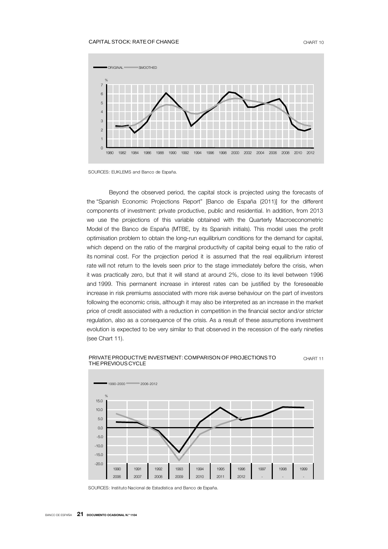#### CAPITAL STOCK: RATE OF CHANGE CHART 10



SOURCES: EUKLEMS and Banco de España.

Beyond the observed period, the capital stock is projected using the forecasts of the "Spanish Economic Projections Report" [Banco de España (2011)] for the different components of investment: private productive, public and residential. In addition, from 2013 we use the projections of this variable obtained with the Quarterly Macroeconometric Model of the Banco de España (MTBE, by its Spanish initials). This model uses the profit optimisation problem to obtain the long-run equilibrium conditions for the demand for capital, which depend on the ratio of the marginal productivity of capital being equal to the ratio of its nominal cost. For the projection period it is assumed that the real equilibrium interest rate will not return to the levels seen prior to the stage immediately before the crisis, when it was practically zero, but that it will stand at around 2%, close to its level between 1996 and 1999. This permanent increase in interest rates can be justified by the foreseeable increase in risk premiums associated with more risk averse behaviour on the part of investors following the economic crisis, although it may also be interpreted as an increase in the market price of credit associated with a reduction in competition in the financial sector and/or stricter regulation, also as a consequence of the crisis. As a result of these assumptions investment evolution is expected to be very similar to that observed in the recession of the early nineties (see Chart 11).





SOURCES: Instituto Nacional de Estadística and Banco de España.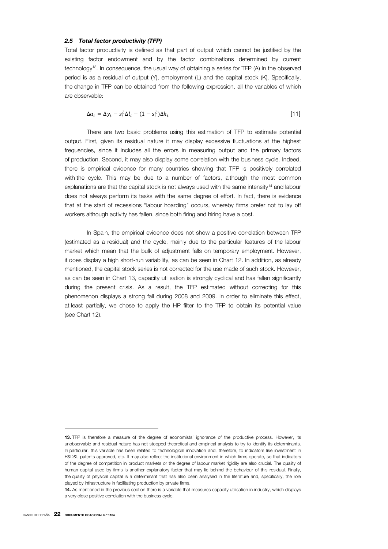## *2.5 Total factor productivity (TFP)*

Total factor productivity is defined as that part of output which cannot be justified by the existing factor endowment and by the factor combinations determined by current technology13. In consequence, the usual way of obtaining a series for TFP (A) in the observed period is as a residual of output (Y), employment (L) and the capital stock (K). Specifically, the change in TFP can be obtained from the following expression, all the variables of which are observable:

$$
\Delta a_t = \Delta y_t - s_t^L \Delta l_t - (1 - s_t^L) \Delta k_t \tag{11}
$$

There are two basic problems using this estimation of TFP to estimate potential output. First, given its residual nature it may display excessive fluctuations at the highest frequencies, since it includes all the errors in measuring output and the primary factors of production. Second, it may also display some correlation with the business cycle. Indeed, there is empirical evidence for many countries showing that TFP is positively correlated with the cycle. This may be due to a number of factors, although the most common explanations are that the capital stock is not always used with the same intensity<sup>14</sup> and labour does not always perform its tasks with the same degree of effort. In fact, there is evidence that at the start of recessions "labour hoarding" occurs, whereby firms prefer not to lay off workers although activity has fallen, since both firing and hiring have a cost.

In Spain, the empirical evidence does not show a positive correlation between TFP (estimated as a residual) and the cycle, mainly due to the particular features of the labour market which mean that the bulk of adjustment falls on temporary employment. However, it does display a high short-run variability, as can be seen in Chart 12. In addition, as already mentioned, the capital stock series is not corrected for the use made of such stock. However, as can be seen in Chart 13, capacity utilisation is strongly cyclical and has fallen significantly during the present crisis. As a result, the TFP estimated without correcting for this phenomenon displays a strong fall during 2008 and 2009. In order to eliminate this effect, at least partially, we chose to apply the HP filter to the TFP to obtain its potential value (see Chart 12).

**<sup>13.</sup>** TFP is therefore a measure of the degree of economists' ignorance of the productive process. However, its unobservable and residual nature has not stopped theoretical and empirical analysis to try to identify its determinants. In particular, this variable has been related to technological innovation and, therefore, to indicators like investment in R&D&I, patents approved, etc. It may also reflect the institutional environment in which firms operate, so that indicators of the degree of competition in product markets or the degree of labour market rigidity are also crucial. The quality of human capital used by firms is another explanatory factor that may lie behind the behaviour of this residual. Finally, the quality of physical capital is a determinant that has also been analysed in the literature and, specifically, the role played by infrastructure in facilitating production by private firms.

**<sup>14.</sup>** As mentioned in the previous section there is a variable that measures capacity utilisation in industry, which displays a very close positive correlation with the business cycle.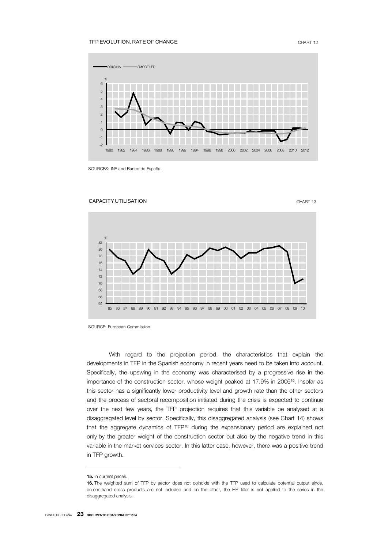# TFP EVOLUTION. RATE OF CHANGE CHART 12



SOURCES: INE and Banco de España.



With regard to the projection period, the characteristics that explain the developments in TFP in the Spanish economy in recent years need to be taken into account. Specifically, the upswing in the economy was characterised by a progressive rise in the importance of the construction sector, whose weight peaked at 17.9% in 2006<sup>15</sup>. Insofar as this sector has a significantly lower productivity level and growth rate than the other sectors and the process of sectoral recomposition initiated during the crisis is expected to continue over the next few years, the TFP projection requires that this variable be analysed at a disaggregated level by sector. Specifically, this disaggregated analysis (see Chart 14) shows that the aggregate dynamics of TFP<sup>16</sup> during the expansionary period are explained not only by the greater weight of the construction sector but also by the negative trend in this variable in the market services sector. In this latter case, however, there was a positive trend in TFP growth.

SOURCE: European Commission.

**<sup>15.</sup>** In current prices.

**<sup>16.</sup>** The weighted sum of TFP by sector does not coincide with the TFP used to calculate potential output since, on one hand cross products are not included and on the other, the HP filter is not applied to the series in the disaggregated analysis.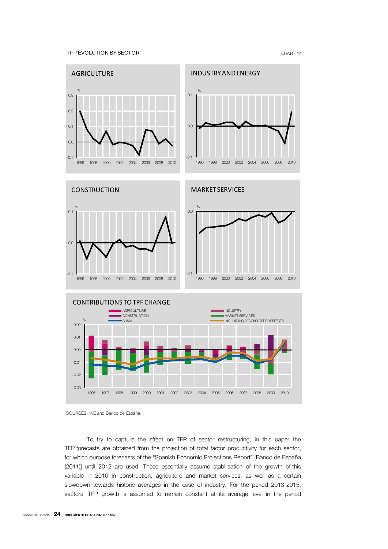#### TFP EVOLUTION BY SECTOR THE STATE OF A SECTOR CHART 14



SOURCES: INE and Banco de España.

To try to capture the effect on TFP of sector restructuring, in this paper the TFP forecasts are obtained from the projection of total factor productivity for each sector, for which purpose forecasts of the "Spanish Economic Projections Report" [Banco de España (2011)] until 2012 are used. These essentially assume stabilisation of the growth of this variable in 2010 in construction, agriculture and market services, as well as a certain slowdown towards historic averages in the case of industry. For the period 2013-2015, sectoral TFP growth is assumed to remain constant at its average level in the period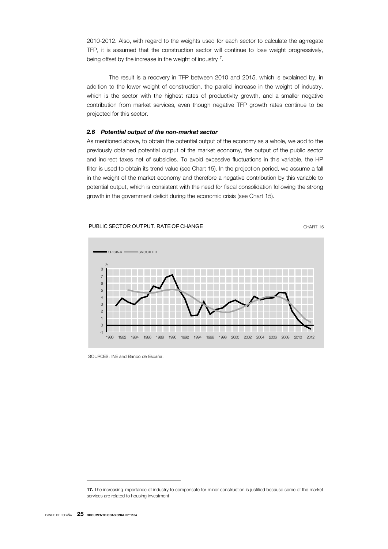2010-2012. Also, with regard to the weights used for each sector to calculate the agrregate TFP, it is assumed that the construction sector will continue to lose weight progressively, being offset by the increase in the weight of industry<sup>17</sup>.

The result is a recovery in TFP between 2010 and 2015, which is explained by, in addition to the lower weight of construction, the parallel increase in the weight of industry, which is the sector with the highest rates of productivity growth, and a smaller negative contribution from market services, even though negative TFP growth rates continue to be projected for this sector.

# *2.6 Potential output of the non-market sector*

As mentioned above, to obtain the potential output of the economy as a whole, we add to the previously obtained potential output of the market economy, the output of the public sector and indirect taxes net of subsidies. To avoid excessive fluctuations in this variable, the HP filter is used to obtain its trend value (see Chart 15). In the projection period, we assume a fall in the weight of the market economy and therefore a negative contribution by this variable to potential output, which is consistent with the need for fiscal consolidation following the strong growth in the government deficit during the economic crisis (see Chart 15).



PUBLIC SECTOR OUTPUT. RATE OF CHANGE THE CHART 15



SOURCES: INE and Banco de España.

**<sup>17.</sup>** The increasing importance of industry to compensate for minor construction is justified because some of the market services are related to housing investment.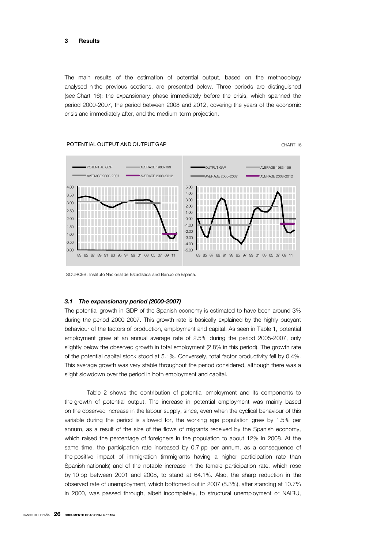The main results of the estimation of potential output, based on the methodology analysed in the previous sections, are presented below. Three periods are distinguished (see Chart 16): the expansionary phase immediately before the crisis, which spanned the period 2000-2007, the period between 2008 and 2012, covering the years of the economic crisis and immediately after, and the medium-term projection.



#### POTENTIAL OUTPUT AND OUTPUT GAP **CHART 16** CHART 16

SOURCES: Instituto Nacional de Estadística and Banco de España.

# *3.1 The expansionary period (2000-2007)*

The potential growth in GDP of the Spanish economy is estimated to have been around 3% during the period 2000-2007. This growth rate is basically explained by the highly buoyant behaviour of the factors of production, employment and capital. As seen in Table 1, potential employment grew at an annual average rate of 2.5% during the period 2005-2007, only slightly below the observed growth in total employment (2.8% in this period). The growth rate of the potential capital stock stood at 5.1%. Conversely, total factor productivity fell by 0.4%. This average growth was very stable throughout the period considered, although there was a slight slowdown over the period in both employment and capital.

Table 2 shows the contribution of potential employment and its components to the growth of potential output. The increase in potential employment was mainly based on the observed increase in the labour supply, since, even when the cyclical behaviour of this variable during the period is allowed for, the working age population grew by 1.5% per annum, as a result of the size of the flows of migrants received by the Spanish economy, which raised the percentage of foreigners in the population to about 12% in 2008. At the same time, the participation rate increased by 0.7 pp per annum, as a consequence of the positive impact of immigration (immigrants having a higher participation rate than Spanish nationals) and of the notable increase in the female participation rate, which rose by 10 pp between 2001 and 2008, to stand at 64.1%. Also, the sharp reduction in the observed rate of unemployment, which bottomed out in 2007 (8.3%), after standing at 10.7% in 2000, was passed through, albeit incompletely, to structural unemployment or NAIRU,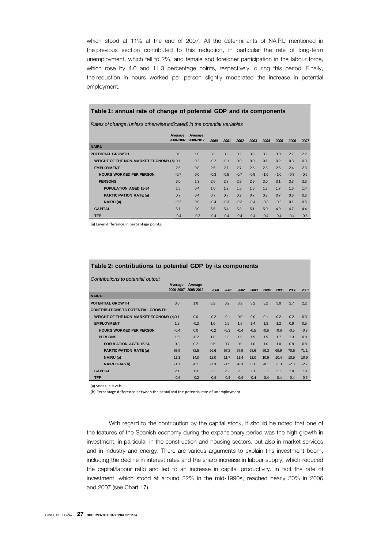which stood at 11% at the end of 2007. All the determinants of NAIRU mentioned in the previous section contributed to this reduction, in particular the rate of long-term unemployment, which fell to 2%, and female and foreigner participation in the labour force, which rose by 4.0 and 11.3 percentage points, respectively, during this period. Finally, the reduction in hours worked per person slightly moderated the increase in potential employment.

# **Table 1: annual rate of change of potential GDP and its components**

*Rates of change (unless otherwise indicated) in the potential variables*

|                                          | Average<br>2000-2007 | Average<br>2008-2012 | 2000   | 2001   | 2002   | 2003   | 2004   | 2005   | 2006   | 2007   |
|------------------------------------------|----------------------|----------------------|--------|--------|--------|--------|--------|--------|--------|--------|
| <b>NAIRU</b>                             |                      |                      |        |        |        |        |        |        |        |        |
| <b>POTENTIAL GROWTH</b>                  | 3.0                  | 1.0                  | 3.2    | 3.2    | 3.2    | 3.2    | 3.2    | 3.0    | 2.7    | 2.2    |
| WEIGHT OF THE NON-MARKET ECONOMY (a) 0.1 |                      | 0.2                  | $-0.2$ | $-0.1$ | 0.0    | 0.0    | 0.1    | 0.2    | 0.3    | 0.3    |
| <b>EMPLOYMENT</b>                        | 2.5                  | 0.8                  | 2.5    | 2.7    | 2.7    | 2.6    | 2.5    | 2.5    | 2.4    | 2.3    |
| <b>HOURS WORKED PER PERSON</b>           | $-0.7$               | 0.0                  | $-0.3$ | $-0.5$ | $-0.7$ | $-0.9$ | $-1.0$ | $-1.0$ | $-0.8$ | $-0.6$ |
| <b>PERSONS</b>                           | 3.0                  | 1.3                  | 2.6    | 2.8    | 2.9    | 2.9    | 3.0    | 3.1    | 3.3    | 3.3    |
| POPULATION AGED 15-64                    | 1.5                  | 0.4                  | 1.0    | 1.2    | 1.5    | 1.6    | 1.7    | 1.7    | 1.6    | 1.4    |
| <b>PARTICIPATION RATE (a)</b>            | 0.7                  | 0.4                  | 0.7    | 0.7    | 0.7    | 0.7    | 0.7    | 0.7    | 0.6    | 0.6    |
| NAIRU (a)                                | $-0.2$               | 0.9                  | $-0.4$ | $-0.3$ | $-0.3$ | $-0.4$ | $-0.3$ | $-0.2$ | 0.1    | 0.5    |
| <b>CAPITAL</b>                           | 5.1                  | 3.0                  | 5.5    | 5.4    | 5.3    | 5.1    | 5.0    | 4.9    | 4.7    | 4.4    |
| <b>TFP</b>                               | $-0.4$               | $-0.2$               | $-0.4$ | $-0.4$ | $-0.4$ | $-0.4$ | $-0.4$ | $-0.4$ | $-0.4$ | $-0.5$ |

(a) Level difference in percentage points.

# **Table 2: contributions to potential GDP by its components**

*Contributions to potential output*

| <b>Continuations to potential output</b>       |                      |                      |        |        |        |        |        |        |        |        |
|------------------------------------------------|----------------------|----------------------|--------|--------|--------|--------|--------|--------|--------|--------|
|                                                | Average<br>2000-2007 | Average<br>2008-2012 | 2000   | 2001   | 2002   | 2003   | 2004   | 2005   | 2006   | 2007   |
| <b>NAIRU</b>                                   |                      |                      |        |        |        |        |        |        |        |        |
| <b>POTENTIAL GROWTH</b>                        | 3.0                  | 1.0                  | 3.2    | 3.2    | 3.2    | 3.2    | 3.2    | 3.0    | 2.7    | 2.2    |
| <b>CONTRIBUTIONS TO POTENTIAL GROWTH</b>       |                      |                      |        |        |        |        |        |        |        |        |
| <b>WEIGHT OF THE NON-MARKET ECONOMY (a)0.1</b> |                      | 0.0                  | $-0.2$ | $-0.1$ | 0.0    | 0.0    | 0.1    | 0.2    | 0.2    | 0.3    |
| <b>EMPLOYMENT</b>                              | 1.2                  | $-0.2$               | 1.6    | 1.5    | 1.5    | 1.4    | 1.3    | 1.2    | 0.9    | 0.5    |
| <b>HOURS WORKED PER PERSON</b>                 | $-0.4$               | 0.0                  | $-0.2$ | $-0.3$ | $-0.4$ | $-0.5$ | $-0.6$ | $-0.6$ | $-0.5$ | $-0.3$ |
| <b>PERSONS</b>                                 | 1.6                  | $-0.2$               | 1.8    | 1.8    | 1.9    | 1.9    | 1.9    | 1.7    | 1.3    | 0.8    |
| <b>POPULATION AGED 15-64</b>                   | 0.8                  | 0.2                  | 0.6    | 0.7    | 0.9    | 1.0    | 1.0    | 1.0    | 0.9    | 0.8    |
| <b>PARTICIPATION RATE (a)</b>                  | 68.9                 | 72.5                 | 66.6   | 67.2   | 67.9   | 68.6   | 69.3   | 69.9   | 70.6   | 71.1   |
| NAIRU (a)                                      | 11.1                 | 14.0                 | 12.0   | 11.7   | 11.4   | 11.0   | 10.6   | 10.4   | 10.5   | 10.9   |
| <b>NAIRU GAP(b)</b>                            | $-1.1$               | 4.1                  | $-1.3$ | $-1.5$ | $-0.3$ | 0.1    | $-0.1$ | $-1.3$ | $-2.0$ | $-2.7$ |
| <b>CAPITAL</b>                                 | 2.1                  | 1.3                  | 2.2    | 2.2    | 2.2    | 2.1    | 2.1    | 2.1    | 2.0    | 1.9    |
| <b>TFP</b>                                     | $-0.4$               | $-0.2$               | $-0.4$ | $-0.4$ | $-0.4$ | $-0.4$ | $-0.4$ | $-0.4$ | $-0.4$ | $-0.5$ |

(a) Series in levels.

(b) Percentage difference between the actual and the potential rate of unemployment.

With regard to the contribution by the capital stock, it should be noted that one of the features of the Spanish economy during the expansionary period was the high growth in investment, in particular in the construction and housing sectors, but also in market services and in industry and energy. There are various arguments to explain this investment boom, including the decline in interest rates and the sharp increase in labour supply, which reduced the capital/labour ratio and led to an increase in capital productivity. In fact the rate of investment, which stood at around 22% in the mid-1990s, reached nearly 30% in 2006 and 2007 (see Chart 17).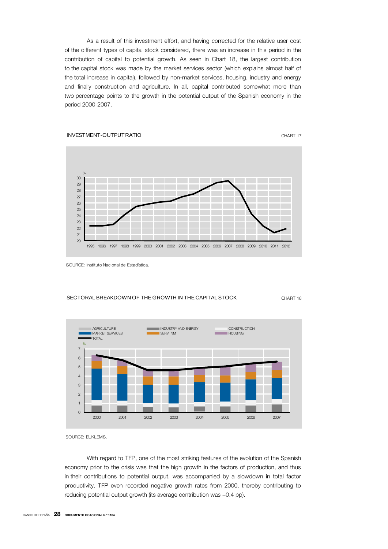As a result of this investment effort, and having corrected for the relative user cost of the different types of capital stock considered, there was an increase in this period in the contribution of capital to potential growth. As seen in Chart 18, the largest contribution to the capital stock was made by the market services sector (which explains almost half of the total increase in capital), followed by non-market services, housing, industry and energy and finally construction and agriculture. In all, capital contributed somewhat more than two percentage points to the growth in the potential output of the Spanish economy in the period 2000-2007.



SOURCE: Instituto Nacional de Estadística.

#### SECTORAL BREAKDOWN OF THE GROWTH IN THE CAPITAL STOCK CHART 18



SOURCE: EUKLEMS.

With regard to TFP, one of the most striking features of the evolution of the Spanish economy prior to the crisis was that the high growth in the factors of production, and thus in their contributions to potential output, was accompanied by a slowdown in total factor productivity. TFP even recorded negative growth rates from 2000, thereby contributing to reducing potential output growth (its average contribution was −0.4 pp).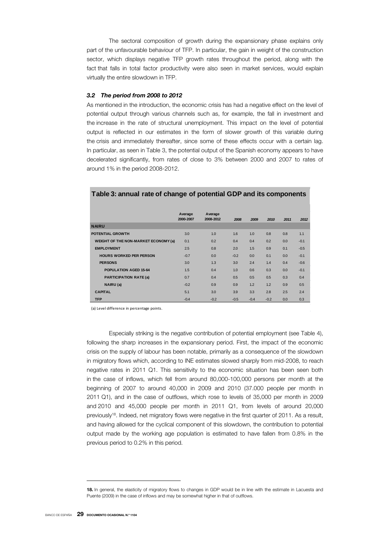The sectoral composition of growth during the expansionary phase explains only part of the unfavourable behaviour of TFP. In particular, the gain in weight of the construction sector, which displays negative TFP growth rates throughout the period, along with the fact that falls in total factor productivity were also seen in market services, would explain virtually the entire slowdown in TFP.

# *3.2 The period from 2008 to 2012*

As mentioned in the introduction, the economic crisis has had a negative effect on the level of potential output through various channels such as, for example, the fall in investment and the increase in the rate of structural unemployment. This impact on the level of potential output is reflected in our estimates in the form of slower growth of this variable during the crisis and immediately thereafter, since some of these effects occur with a certain lag. In particular, as seen in Table 3, the potential output of the Spanish economy appears to have decelerated significantly, from rates of close to 3% between 2000 and 2007 to rates of around 1% in the period 2008-2012.

|                                             | Average   | Average   |        |        |        |      |        |
|---------------------------------------------|-----------|-----------|--------|--------|--------|------|--------|
|                                             | 2000-2007 | 2008-2012 | 2008   | 2009   | 2010   | 2011 | 2012   |
| <b>NAIRU</b>                                |           |           |        |        |        |      |        |
| <b>POTENTIAL GROWTH</b>                     | 3.0       | 1.0       | 1.6    | 1.0    | 0.8    | 0.8  | 1.1    |
| <b>WEIGHT OF THE NON-MARKET ECONOMY (a)</b> | 0.1       | 0.2       | 0.4    | 0.4    | 0.2    | 0.0  | $-0.1$ |
| <b>EMPLOYMENT</b>                           | 2.5       | 0.8       | 2.0    | 1.5    | 0.9    | 0.1  | $-0.5$ |
| <b>HOURS WORKED PER PERSON</b>              | $-0.7$    | 0.0       | $-0.2$ | 0.0    | 0.1    | 0.0  | $-0.1$ |
| <b>PERSONS</b>                              | 3.0       | 1.3       | 3.0    | 2.4    | 1.4    | 0.4  | $-0.6$ |
| <b>POPULATION AGED 15-64</b>                | 1.5       | 0.4       | 1.0    | 0.6    | 0.3    | 0.0  | $-0.1$ |
| <b>PARTICIPATION RATE (a)</b>               | 0.7       | 0.4       | 0.5    | 0.5    | 0.5    | 0.3  | 0.4    |
| NAIRU (a)                                   | $-0.2$    | 0.9       | 0.9    | 1.2    | 1.2    | 0.9  | 0.5    |
| <b>CAPITAL</b>                              | 5.1       | 3.0       | 3.9    | 3.3    | 2.8    | 2.5  | 2.4    |
| <b>TFP</b>                                  | $-0.4$    | $-0.2$    | $-0.5$ | $-0.4$ | $-0.2$ | 0.0  | 0.3    |

# **Table 3: annual rate of change of potential GDP and its components**

(a) Level difference in percentage points.

Especially striking is the negative contribution of potential employment (see Table 4), following the sharp increases in the expansionary period. First, the impact of the economic crisis on the supply of labour has been notable, primarily as a consequence of the slowdown in migratory flows which, according to INE estimates slowed sharply from mid-2008, to reach negative rates in 2011 Q1. This sensitivity to the economic situation has been seen both in the case of inflows, which fell from around 80,000-100,000 persons per month at the beginning of 2007 to around 40,000 in 2009 and 2010 (37.000 people per month in 2011 Q1), and in the case of outflows, which rose to levels of 35,000 per month in 2009 and 2010 and 45,000 people per month in 2011 Q1, from levels of around 20,000 previously<sup>18</sup>. Indeed, net migratory flows were negative in the first quarter of 2011. As a result, and having allowed for the cyclical component of this slowdown, the contribution to potential output made by the working age population is estimated to have fallen from 0.8% in the previous period to 0.2% in this period.

**<sup>18.</sup>** In general, the elasticity of migratory flows to changes in GDP would be in line with the estimate in Lacuesta and Puente (2009) in the case of inflows and may be somewhat higher in that of outflows.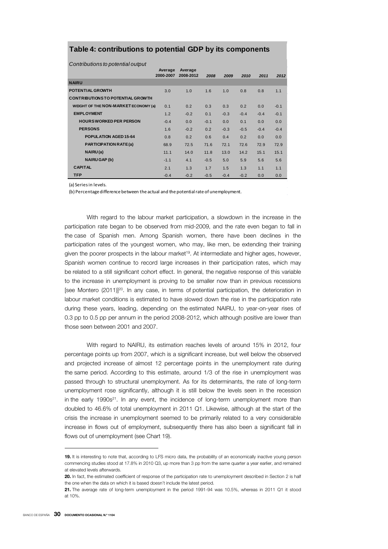# **Table 4: contributions to potential GDP by its components**

*Contributions to potential output*

|                                         | Average<br>2000-2007 | Average<br>2008-2012 | 2008   | 2009   | 2010   | 2011   | 2012   |
|-----------------------------------------|----------------------|----------------------|--------|--------|--------|--------|--------|
| <b>NAIRU</b>                            |                      |                      |        |        |        |        |        |
| <b>POTENTIAL GROWTH</b>                 | 3.0                  | 1.0                  | 1.6    | 1.0    | 0.8    | 0.8    | 1.1    |
| <b>CONTRIBUTIONSTO POTENTIAL GROWTH</b> |                      |                      |        |        |        |        |        |
| WEIGHT OF THE NON-MARKET ECONOMY (a)    | 0.1                  | 0.2                  | 0.3    | 0.3    | 0.2    | 0.0    | $-0.1$ |
| <b>EMPLOYMENT</b>                       | 1.2                  | $-0.2$               | 0.1    | $-0.3$ | $-0.4$ | $-0.4$ | $-0.1$ |
| <b>HOURS WORKED PER PERSON</b>          | $-0.4$               | 0.0                  | $-0.1$ | 0.0    | 0.1    | 0.0    | 0.0    |
| <b>PERSONS</b>                          | 1.6                  | $-0.2$               | 0.2    | $-0.3$ | $-0.5$ | $-0.4$ | $-0.4$ |
| POPUL ATION AGED 15-64                  | 0.8                  | 0.2                  | 0.6    | 0.4    | 0.2    | 0.0    | 0.0    |
| <b>PARTICIPATION RATE(a)</b>            | 68.9                 | 72.5                 | 71.6   | 72.1   | 72.6   | 72.9   | 72.9   |
| NAIRU(a)                                | 11.1                 | 14.0                 | 11.8   | 13.0   | 14.2   | 15.1   | 15.1   |
| <b>NAIRU GAP (b)</b>                    | $-1.1$               | 4.1                  | $-0.5$ | 5.0    | 5.9    | 5.6    | 5.6    |
| <b>CAPITAL</b>                          | 2.1                  | 1.3                  | 1.7    | 1.5    | 1.3    | 1.1    | 1.1    |
| <b>TFP</b>                              | $-0.4$               | $-0.2$               | $-0.5$ | $-0.4$ | $-0.2$ | 0.0    | 0.0    |

(a) Seriesin levels.

(b) Percentage difference between the actual and the potentialrate of unemployment.

With regard to the labour market participation, a slowdown in the increase in the participation rate began to be observed from mid-2009, and the rate even began to fall in the case of Spanish men. Among Spanish women, there have been declines in the participation rates of the youngest women, who may, like men, be extending their training given the poorer prospects in the labour market<sup>19</sup>. At intermediate and higher ages, however, Spanish women continue to record large increases in their participation rates, which may be related to a still significant cohort effect. In general, the negative response of this variable to the increase in unemployment is proving to be smaller now than in previous recessions [see Montero (2011)]<sup>20</sup>. In any case, in terms of potential participation, the deterioration in labour market conditions is estimated to have slowed down the rise in the participation rate during these years, leading, depending on the estimated NAIRU, to year-on-year rises of 0.3 pp to 0.5 pp per annum in the period 2008-2012, which although positive are lower than those seen between 2001 and 2007.

With regard to NAIRU, its estimation reaches levels of around 15% in 2012, four percentage points up from 2007, which is a significant increase, but well below the observed and projected increase of almost 12 percentage points in the unemployment rate during the same period. According to this estimate, around 1/3 of the rise in unemployment was passed through to structural unemployment. As for its determinants, the rate of long-term unemployment rose significantly, although it is still below the levels seen in the recession in the early  $1990s<sup>21</sup>$ . In any event, the incidence of long-term unemployment more than doubled to 46.6% of total unemployment in 2011 Q1. Likewise, although at the start of the crisis the increase in unemployment seemed to be primarily related to a very considerable increase in flows out of employment, subsequently there has also been a significant fall in flows out of unemployment (see Chart 19).

**<sup>19.</sup>** It is interesting to note that, according to LFS micro data, the probability of an economically inactive young person commencing studies stood at 17.8% in 2010 Q3, up more than 3 pp from the same quarter a year earlier, and remained at elevated levels afterwards.

**<sup>20.</sup>** In fact, the estimated coefficient of response of the participation rate to unemployment described in Section 2 is half the one when the data on which it is based doesn't include the latest period.

**<sup>21.</sup>** The average rate of long-term unemployment in the period 1991-94 was 10.5%, whereas in 2011 Q1 it stood at 10%.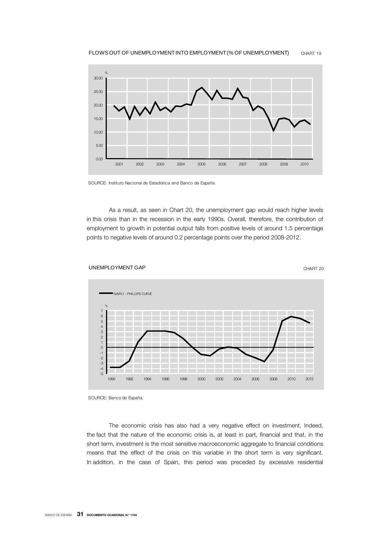

SOURCE: Instituto Nacional de Estadística and Banco de España.

As a result, as seen in Chart 20, the unemployment gap would reach higher levels in this crisis than in the recession in the early 1990s. Overall, therefore, the contribution of employment to growth in potential output falls from positive levels of around 1.5 percentage points to negative levels of around 0.2 percentage points over the period 2008-2012.



SOURCE: Banco de España.

The economic crisis has also had a very negative effect on investment. Indeed, the fact that the nature of the economic crisis is, at least in part, financial and that, in the short term, investment is the most sensitive macroeconomic aggregate to financial conditions means that the effect of the crisis on this variable in the short term is very significant. In addition, in the case of Spain, this period was preceded by excessive residential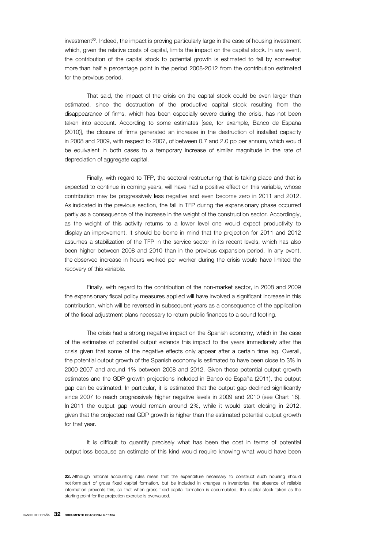investment<sup>22</sup>. Indeed, the impact is proving particularly large in the case of housing investment which, given the relative costs of capital, limits the impact on the capital stock. In any event, the contribution of the capital stock to potential growth is estimated to fall by somewhat more than half a percentage point in the period 2008-2012 from the contribution estimated for the previous period.

That said, the impact of the crisis on the capital stock could be even larger than estimated, since the destruction of the productive capital stock resulting from the disappearance of firms, which has been especially severe during the crisis, has not been taken into account. According to some estimates [see, for example, Banco de España (2010)], the closure of firms generated an increase in the destruction of installed capacity in 2008 and 2009, with respect to 2007, of between 0.7 and 2.0 pp per annum, which would be equivalent in both cases to a temporary increase of similar magnitude in the rate of depreciation of aggregate capital.

Finally, with regard to TFP, the sectoral restructuring that is taking place and that is expected to continue in coming years, will have had a positive effect on this variable, whose contribution may be progressively less negative and even become zero in 2011 and 2012. As indicated in the previous section, the fall in TFP during the expansionary phase occurred partly as a consequence of the increase in the weight of the construction sector. Accordingly, as the weight of this activity returns to a lower level one would expect productivity to display an improvement. It should be borne in mind that the projection for 2011 and 2012 assumes a stabilization of the TFP in the service sector in its recent levels, which has also been higher between 2008 and 2010 than in the previous expansion period. In any event, the observed increase in hours worked per worker during the crisis would have limited the recovery of this variable.

Finally, with regard to the contribution of the non-market sector, in 2008 and 2009 the expansionary fiscal policy measures applied will have involved a significant increase in this contribution, which will be reversed in subsequent years as a consequence of the application of the fiscal adjustment plans necessary to return public finances to a sound footing.

The crisis had a strong negative impact on the Spanish economy, which in the case of the estimates of potential output extends this impact to the years immediately after the crisis given that some of the negative effects only appear after a certain time lag. Overall, the potential output growth of the Spanish economy is estimated to have been close to 3% in 2000-2007 and around 1% between 2008 and 2012. Given these potential output growth estimates and the GDP growth projections included in Banco de España (2011), the output gap can be estimated. In particular, it is estimated that the output gap declined significantly since 2007 to reach progressively higher negative levels in 2009 and 2010 (see Chart 16). In 2011 the output gap would remain around 2%, while it would start closing in 2012, given that the projected real GDP growth is higher than the estimated potential output growth for that year.

It is difficult to quantify precisely what has been the cost in terms of potential output loss because an estimate of this kind would require knowing what would have been

<sup>22.</sup> Although national accounting rules mean that the expenditure necessary to construct such housing should not form part of gross fixed capital formation, but be included in changes in inventories, the absence of reliable information prevents this, so that when gross fixed capital formation is accumulated, the capital stock taken as the starting point for the projection exercise is overvalued.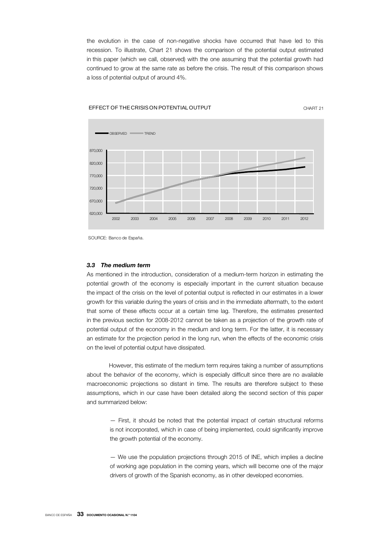the evolution in the case of non-negative shocks have occurred that have led to this recession. To illustrate, Chart 21 shows the comparison of the potential output estimated in this paper (which we call, observed) with the one assuming that the potential growth had continued to grow at the same rate as before the crisis. The result of this comparison shows a loss of potential output of around 4%.



EFFECT OF THE CRISIS ON POTENTIAL OUTPUT THE CHART 21 CHART 21

SOURCE: Banco de España.

## *3.3 The medium term*

As mentioned in the introduction, consideration of a medium-term horizon in estimating the potential growth of the economy is especially important in the current situation because the impact of the crisis on the level of potential output is reflected in our estimates in a lower growth for this variable during the years of crisis and in the immediate aftermath, to the extent that some of these effects occur at a certain time lag. Therefore, the estimates presented in the previous section for 2008-2012 cannot be taken as a projection of the growth rate of potential output of the economy in the medium and long term. For the latter, it is necessary an estimate for the projection period in the long run, when the effects of the economic crisis on the level of potential output have dissipated.

However, this estimate of the medium term requires taking a number of assumptions about the behavior of the economy, which is especially difficult since there are no available macroeconomic projections so distant in time. The results are therefore subject to these assumptions, which in our case have been detailed along the second section of this paper and summarized below:

— First, it should be noted that the potential impact of certain structural reforms is not incorporated, which in case of being implemented, could significantly improve the growth potential of the economy.

— We use the population projections through 2015 of INE, which implies a decline of working age population in the coming years, which will become one of the major drivers of growth of the Spanish economy, as in other developed economies.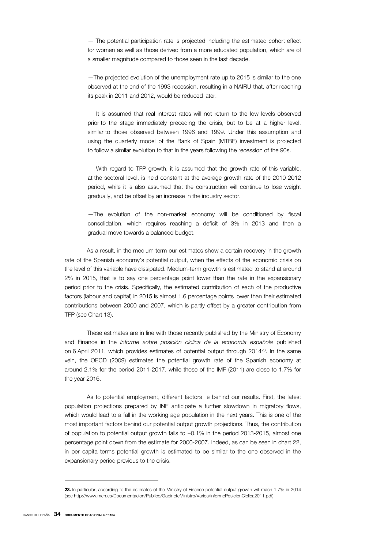— The potential participation rate is projected including the estimated cohort effect for women as well as those derived from a more educated population, which are of a smaller magnitude compared to those seen in the last decade.

—The projected evolution of the unemployment rate up to 2015 is similar to the one observed at the end of the 1993 recession, resulting in a NAIRU that, after reaching its peak in 2011 and 2012, would be reduced later.

— It is assumed that real interest rates will not return to the low levels observed prior to the stage immediately preceding the crisis, but to be at a higher level, similar to those observed between 1996 and 1999. Under this assumption and using the quarterly model of the Bank of Spain (MTBE) investment is projected to follow a similar evolution to that in the years following the recession of the 90s.

— With regard to TFP growth, it is assumed that the growth rate of this variable, at the sectoral level, is held constant at the average growth rate of the 2010-2012 period, while it is also assumed that the construction will continue to lose weight gradually, and be offset by an increase in the industry sector.

—The evolution of the non-market economy will be conditioned by fiscal consolidation, which requires reaching a deficit of 3% in 2013 and then a gradual move towards a balanced budget.

As a result, in the medium term our estimates show a certain recovery in the growth rate of the Spanish economy's potential output, when the effects of the economic crisis on the level of this variable have dissipated. Medium-term growth is estimated to stand at around 2% in 2015, that is to say one percentage point lower than the rate in the expansionary period prior to the crisis. Specifically, the estimated contribution of each of the productive factors (labour and capital) in 2015 is almost 1.6 percentage points lower than their estimated contributions between 2000 and 2007, which is partly offset by a greater contribution from TFP (see Chart 13).

These estimates are in line with those recently published by the Ministry of Economy and Finance in the *Informe sobre posición cíclica de la economía española* published on 6 April 2011, which provides estimates of potential output through 201423. In the same vein, the OECD (2009) estimates the potential growth rate of the Spanish economy at around 2.1% for the period 2011-2017, while those of the IMF (2011) are close to 1.7% for the year 2016.

As to potential employment, different factors lie behind our results. First, the latest population projections prepared by INE anticipate a further slowdown in migratory flows, which would lead to a fall in the working age population in the next years. This is one of the most important factors behind our potential output growth projections. Thus, the contribution of population to potential output growth falls to −0.1% in the period 2013-2015, almost one percentage point down from the estimate for 2000-2007. Indeed, as can be seen in chart 22, in per capita terms potential growth is estimated to be similar to the one observed in the expansionary period previous to the crisis.

**<sup>23.</sup>** In particular, according to the estimates of the Ministry of Finance potential output growth will reach 1.7% in 2014 (see http://www.meh.es/Documentacion/Publico/GabineteMinistro/Varios/InformePosicionCiclica2011.pdf).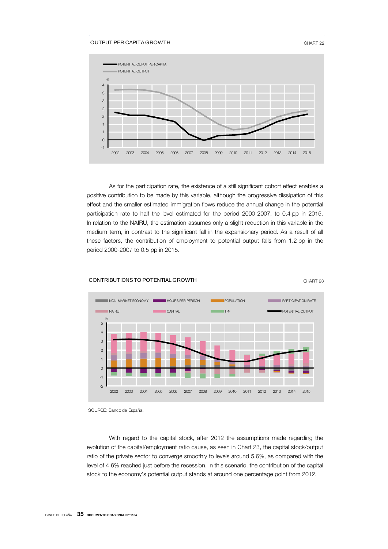# OUTPUT PER CAPITA GROWTH CHART 22



As for the participation rate, the existence of a still significant cohort effect enables a positive contribution to be made by this variable, although the progressive dissipation of this effect and the smaller estimated immigration flows reduce the annual change in the potential participation rate to half the level estimated for the period 2000-2007, to 0.4 pp in 2015. In relation to the NAIRU, the estimation assumes only a slight reduction in this variable in the medium term, in contrast to the significant fall in the expansionary period. As a result of all these factors, the contribution of employment to potential output falls from 1.2 pp in the period 2000-2007 to 0.5 pp in 2015.



#### CONTRIBUTIONS TO POTENTIAL GROWTH THE CHART 23

SOURCE: Banco de España.

With regard to the capital stock, after 2012 the assumptions made regarding the evolution of the capital/employment ratio cause, as seen in Chart 23, the capital stock/output ratio of the private sector to converge smoothly to levels around 5.6%, as compared with the level of 4.6% reached just before the recession. In this scenario, the contribution of the capital stock to the economy's potential output stands at around one percentage point from 2012.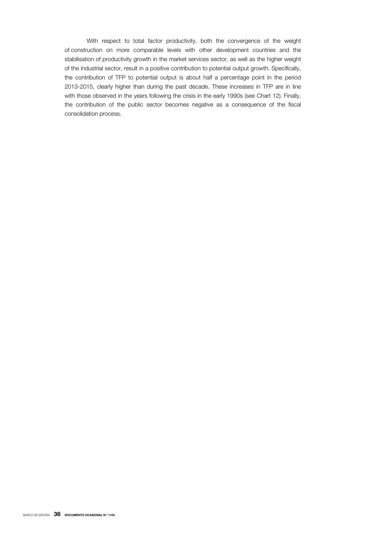With respect to total factor productivity, both the convergence of the weight of construction on more comparable levels with other development countries and the stabilisation of productivity growth in the market services sector, as well as the higher weight of the industrial sector, result in a positive contribution to potential output growth. Specifically, the contribution of TFP to potential output is about half a percentage point in the period 2013-2015, clearly higher than during the past decade. These increases in TFP are in line with those observed in the years following the crisis in the early 1990s (see Chart 12). Finally, the contribution of the public sector becomes negative as a consequence of the fiscal consolidation process.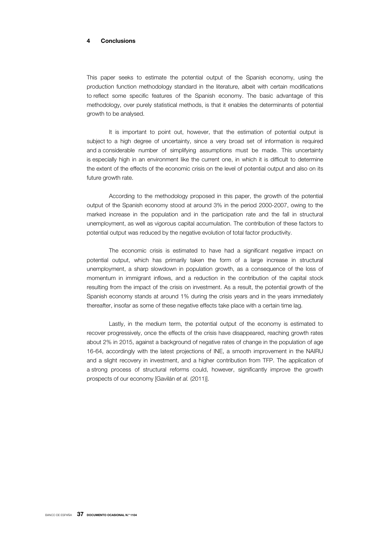# **4 Conclusions**

This paper seeks to estimate the potential output of the Spanish economy, using the production function methodology standard in the literature, albeit with certain modifications to reflect some specific features of the Spanish economy. The basic advantage of this methodology, over purely statistical methods, is that it enables the determinants of potential growth to be analysed.

It is important to point out, however, that the estimation of potential output is subject to a high degree of uncertainty, since a very broad set of information is required and a considerable number of simplifying assumptions must be made. This uncertainty is especially high in an environment like the current one, in which it is difficult to determine the extent of the effects of the economic crisis on the level of potential output and also on its future growth rate.

According to the methodology proposed in this paper, the growth of the potential output of the Spanish economy stood at around 3% in the period 2000-2007, owing to the marked increase in the population and in the participation rate and the fall in structural unemployment, as well as vigorous capital accumulation. The contribution of these factors to potential output was reduced by the negative evolution of total factor productivity.

The economic crisis is estimated to have had a significant negative impact on potential output, which has primarily taken the form of a large increase in structural unemployment, a sharp slowdown in population growth, as a consequence of the loss of momentum in immigrant inflows, and a reduction in the contribution of the capital stock resulting from the impact of the crisis on investment. As a result, the potential growth of the Spanish economy stands at around 1% during the crisis years and in the years immediately thereafter, insofar as some of these negative effects take place with a certain time lag.

Lastly, in the medium term, the potential output of the economy is estimated to recover progressively, once the effects of the crisis have disappeared, reaching growth rates about 2% in 2015, against a background of negative rates of change in the population of age 16-64, accordingly with the latest projections of INE, a smooth improvement in the NAIRU and a slight recovery in investment, and a higher contribution from TFP. The application of a strong process of structural reforms could, however, significantly improve the growth prospects of our economy [Gavilán *et al.* (2011)].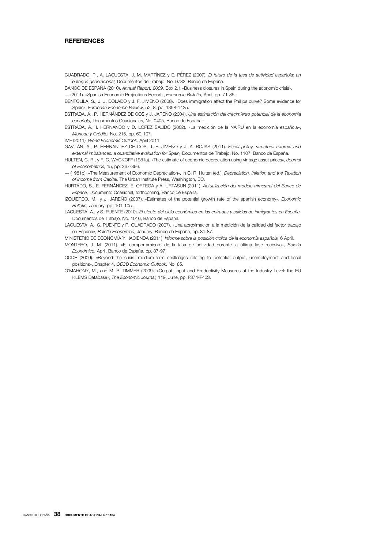# **REFERENCES**

CUADRADO, P., A. LACUESTA, J. M. MARTÍNEZ y E. PÉREZ (2007). *El futuro de la tasa de actividad española: un enfoque generacional,* Documentos de Trabajo, No. 0732, Banco de España.

BANCO DE ESPAÑA (2010). *Annual Report, 2009,* Box 2.1 «Business closures in Spain during the economic crisis».

― (2011). «Spanish Economic Projections Report», *Economic Bulletin,* April, pp. 71-85.

BENTOLILA, S., J. J. DOLADO y J. F. JIMENO (2008). «Does immigration affect the Phillips curve? Some evidence for Spain», *European Economic Review,* 52, 8, pp. 1398-1425.

ESTRADA, Á., P. HERNÁNDEZ DE COS y J. JAREÑO (2004). *Una estimación del crecimiento potencial de la economía española,* Documentos Ocasionales, No. 0405, Banco de España.

ESTRADA, Á., I. HERNANDO y D. LÓPEZ SALIDO (2002). «La medición de la NAIRU en la economía española», *Moneda y Crédito,* No. 215, pp. 69-107.

IMF (2011). *World Economic Outlook,* April 2011.

GAVILÁN, A., P. HERNÁNDEZ DE COS, J. F. JIMENO y J. A. ROJAS (2011). *Fiscal policy, structural reforms and external imbalances: a quantitative evaluation for Spain,* Documentos de Trabajo, No. 1107, Banco de España.

HULTEN, C. R., y F. C. WYCKOFF (1981a). «The estimate of economic depreciation using vintage asset prices», *Journal of Econometrics,* 15, pp. 367-396.

― (1981b). «The Measurement of Economic Depreciation», in C. R. Hulten (ed.), *Depreciation, Inflation and the Taxation of Income from Capital,* The Urban Institute Press, Washington, DC.

HURTADO, S., E. FERNÁNDEZ, E. ORTEGA y A. URTASUN (2011). *Actualización del modelo trimestral del Banco de España,* Documento Ocasional, forthcoming, Banco de España.

IZQUIERDO, M., y J. JAREÑO (2007). «Estimates of the potential growth rate of the spanish economy», *Economic Bulletin,* January, pp. 101-105.

LACUESTA, A., y S. PUENTE (2010). *El efecto del ciclo económico en las entradas y salidas de inmigrantes en España,* Documentos de Trabajo, No. 1016, Banco de España.

LACUESTA, A., S. PUENTE y P. CUADRADO (2007). «Una aproximación a la medición de la calidad del factor trabajo en España», *Boletín Económico,* January, Banco de España, pp. 81-87.

MINISTERIO DE ECONOMÍA Y HACIENDA (2011). *Informe sobre la posición cíclica de la economía española,* 6 April.

MONTERO, J. M. (2011). «El comportamiento de la tasa de actividad durante la última fase recesiva», *Boletín Económico,* April, Banco de España, pp. 87-97.

OCDE (2009). «Beyond the crisis: medium-term challenges relating to potential output, unemployment and fiscal positions», Chapter 4, *OECD Economic Outlook,* No. 85.

O'MAHONY, M., and M. P. TIMMER (2009). «Output, Input and Productivity Measures at the Industry Level: the EU KLEMS Database», *The Economic Journal,* 119, June, pp. F374-F403.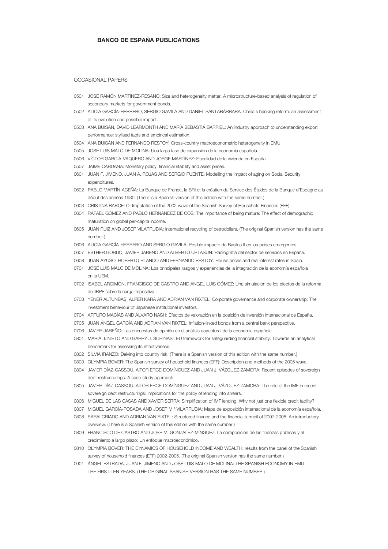# **BANCO DE ESPAÑA PUBLICATIONS**

#### OCCASIONAL PAPERS

- 0501 JOSÉ RAMÓN MARTÍNEZ-RESANO: Size and heterogeneity matter. A microstructure-based analysis of regulation of secondary markets for government bonds.
- 0502 ALICIA GARCÍA-HERRERO, SERGIO GAVILÁ AND DANIEL SANTABÁRBARA: China's banking reform: an assessment of its evolution and possible impact.
- 0503 ANA BUISÁN, DAVID LEARMONTH AND MARÍA SEBASTIÁ BARRIEL: An industry approach to understanding export performance: stylised facts and empirical estimation.
- 0504 ANA BUISÁN AND FERNANDO RESTOY: Cross-country macroeconometric heterogeneity in EMU.
- 0505 JOSÉ LUIS MALO DE MOLINA: Una larga fase de expansión de la economía española.
- 0506 VÍCTOR GARCÍA-VAQUERO AND JORGE MARTÍNEZ: Fiscalidad de la vivienda en España.
- 0507 JAIME CARUANA: Monetary policy, financial stability and asset prices.
- 0601 JUAN F. JIMENO, JUAN A. ROJAS AND SERGIO PUENTE: Modelling the impact of aging on Social Security expenditures.
- 0602 PABLO MARTÍN-ACEÑA: La Banque de France, la BRI et la création du Service des Études de la Banque d'Espagne au début des années 1930. (There is a Spanish version of this edition with the same number.)
- 0603 CRISTINA BARCELÓ: Imputation of the 2002 wave of the Spanish Survey of Household Finances (EFF).
- 0604 RAFAEL GÓMEZ AND PABLO HERNÁNDEZ DE COS: The importance of being mature: The effect of demographic maturation on global per-capita income.
- 0605 JUAN RUIZ AND JOSEP VILARRUBIA: International recycling of petrodollars. (The original Spanish version has the same number.)
- 0606 ALICIA GARCÍA-HERRERO AND SERGIO GAVILÁ: Posible impacto de Basilea II en los países emergentes.
- 0607 ESTHER GORDO, JAVIER JAREÑO AND ALBERTO URTASUN: Radiografía del sector de servicios en España.
- 0608 JUAN AYUSO, ROBERTO BLANCO AND FERNANDO RESTOY: House prices and real interest rates in Spain.
- 0701 JOSÉ LUIS MALO DE MOLINA: Los principales rasgos y experiencias de la integración de la economía española en la UEM.
- 0702 ISABEL ARGIMÓN, FRANCISCO DE CASTRO AND ÁNGEL LUIS GÓMEZ: Una simulación de los efectos de la reforma del IRPF sobre la carga impositiva.
- 0703 YENER ALTUNBAŞ, ALPER KARA AND ADRIAN VAN RIXTEL: Corporate governance and corporate ownership: The investment behaviour of Japanese institutional investors.
- 0704 ARTURO MACÍAS AND ÁLVARO NASH: Efectos de valoración en la posición de inversión internacional de España.
- 0705 JUAN ÁNGEL GARCÍA AND ADRIAN VAN RIXTEL: Inflation-linked bonds from a central bank perspective.
- 0706 JAVIER JAREÑO: Las encuestas de opinión en el análisis coyuntural de la economía española.
- 0801 MARÍA J. NIETO AND GARRY J. SCHINASI: EU framework for safeguarding financial stability: Towards an analytical benchmark for assessing its effectiveness.
- 0802 SILVIA IRANZO: Delving into country risk. (There is a Spanish version of this edition with the same number.)
- 0803 OLYMPIA BOVER: The Spanish survey of household finances (EFF): Description and methods of the 2005 wave.
- 0804 JAVIER DÍAZ-CASSOU, AITOR ERCE-DOMÍNGUEZ AND JUAN J. VÁZQUEZ-ZAMORA: Recent episodes of sovereign debt restructurings. A case-study approach.
- 0805 JAVIER DÍAZ-CASSOU, AITOR ERCE-DOMÍNGUEZ AND JUAN J. VÁZQUEZ-ZAMORA: The role of the IMF in recent sovereign debt restructurings: Implications for the policy of lending into arrears.
- 0806 MIGUEL DE LAS CASAS AND XAVIER SERRA: Simplification of IMF lending. Why not just one flexible credit facility?
- 0807 MIGUEL GARCÍA-POSADA AND JOSEP M.ª VILARRUBIA: Mapa de exposición internacional de la economía española.
- 0808 SARAI CRIADO AND ADRIAN VAN RIXTEL: Structured finance and the financial turmoil of 2007-2008: An introductory overview. (There is a Spanish version of this edition with the same number.)
- 0809 FRANCISCO DE CASTRO AND JOSÉ M. GONZÁLEZ-MÍNGUEZ: La composición de las finanzas públicas y el crecimiento a largo plazo: Un enfoque macroeconómico.
- 0810 OLYMPIA BOVER: THE DYNAMICS OF HOUSEHOLD INCOME AND WEALTH: results from the panel of the Spanish survey of household finances (EFF) 2002-2005. (The original Spanish version has the same number.)
- 0901 ÁNGEL ESTRADA, JUAN F. JIMENO AND JOSÉ LUIS MALO DE MOLINA: THE SPANISH ECONOMY IN EMU: THE FIRST TEN YEARS. (THE ORIGINAL SPANISH VERSION HAS THE SAME NUMBER.)